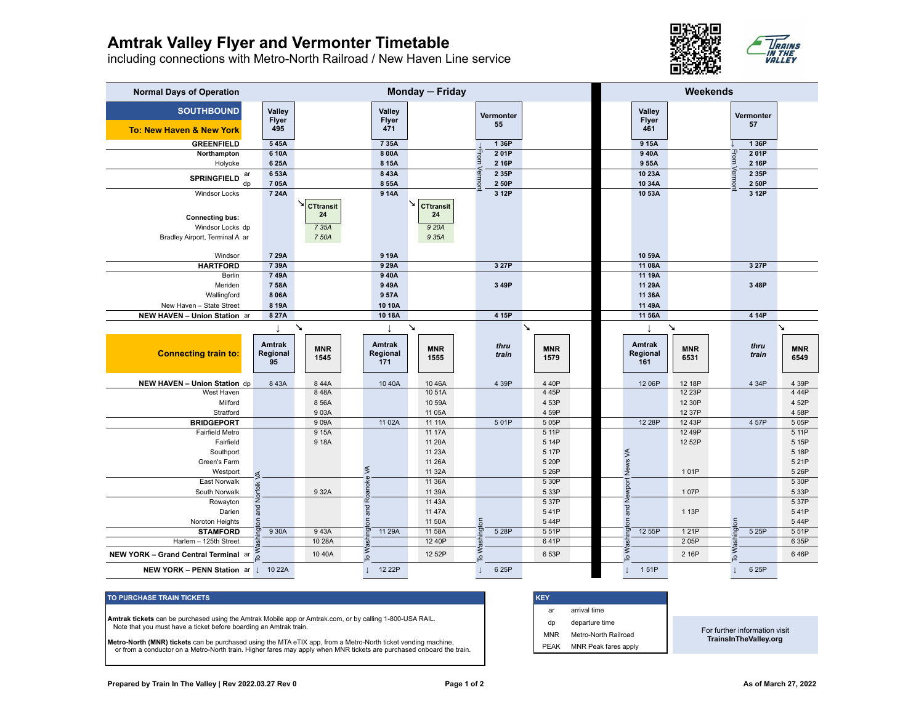## **Amtrak Valley Flyer and Vermonter Timetable**

including connections with Metro-North Railroad / New Haven Line service



| <b>Normal Days of Operation</b>                                              |                                      | Monday - Friday                          |                               |                                                 |                 |                                    |                                      | Weekends                                     |                 |                         |  |
|------------------------------------------------------------------------------|--------------------------------------|------------------------------------------|-------------------------------|-------------------------------------------------|-----------------|------------------------------------|--------------------------------------|----------------------------------------------|-----------------|-------------------------|--|
| <b>SOUTHBOUND</b><br>To: New Haven & New York                                | <b>Valley</b><br><b>Flyer</b><br>495 |                                          | Valley<br><b>Flyer</b><br>471 |                                                 | Vermonter<br>55 |                                    | <b>Valley</b><br><b>Flyer</b><br>461 |                                              | Vermonter<br>57 |                         |  |
| <b>GREENFIELD</b>                                                            | 545A                                 |                                          | 7 35A                         |                                                 | 1 36P           |                                    | 9 15A                                |                                              | 1 36P           |                         |  |
| Northampton                                                                  | 610A                                 |                                          | 8 00A                         |                                                 | 201P            |                                    | 940A                                 |                                              | From<br>201P    |                         |  |
| Holyoke                                                                      | 6 25A                                |                                          | 8 15A                         |                                                 | rom<br>2 16P    |                                    | 9 55A                                |                                              | 2 16P           |                         |  |
| ar<br><b>SPRINGFIELD</b>                                                     | 653A                                 |                                          | 8 43A                         |                                                 | 2 35P           |                                    | 10 23A                               |                                              | 2 35P<br>ermo   |                         |  |
| dp                                                                           | 705A                                 |                                          | 8 55A                         |                                                 | ermon<br>2 50P  |                                    | 10 34A                               |                                              | 2 50P           |                         |  |
| <b>Windsor Locks</b>                                                         | 7 24A                                |                                          | 914A                          |                                                 | 3 12P           |                                    | 10 53A                               |                                              | 3 12P           |                         |  |
| <b>Connecting bus:</b><br>Windsor Locks dp<br>Bradley Airport, Terminal A ar |                                      | <b>CTtransit</b><br>24<br>7 35A<br>7 50A |                               | ↘∣<br><b>CTtransit</b><br>24<br>9 20A<br>9 35A  |                 |                                    |                                      |                                              |                 |                         |  |
|                                                                              |                                      |                                          |                               |                                                 |                 |                                    |                                      |                                              |                 |                         |  |
| Windsor                                                                      | 7 29A                                |                                          | 9 19A                         |                                                 |                 |                                    | 10 59A                               |                                              |                 |                         |  |
| <b>HARTFORD</b>                                                              | 739A                                 |                                          | 9 29A                         |                                                 | 3 27P           |                                    | 11 08A                               |                                              | 3 27P           |                         |  |
| Berlin                                                                       | 749A                                 |                                          | 940A                          |                                                 |                 |                                    | 11 19A                               |                                              |                 |                         |  |
| Meriden                                                                      | 758A                                 |                                          | 949A                          |                                                 | 3 49P           |                                    | 11 29A                               |                                              | 3 48P           |                         |  |
| Wallingford                                                                  | 806A                                 |                                          | 957A                          |                                                 |                 |                                    | 11 36A                               |                                              |                 |                         |  |
| New Haven - State Street                                                     | 8 19A                                |                                          | 10 10A                        |                                                 |                 |                                    | 11 49A                               |                                              |                 |                         |  |
| NEW HAVEN - Union Station ar                                                 | 8 27A                                |                                          | 10 18A                        |                                                 | 4 15P           |                                    | 11 56A                               |                                              | 4 14P           |                         |  |
| <b>Connecting train to:</b>                                                  | T<br><b>Amtrak</b><br>Regional<br>95 | ↘<br><b>MNR</b><br>1545                  | Amtrak<br>Regional<br>171     | $\boldsymbol{\mathsf{v}}$<br><b>MNR</b><br>1555 | thru<br>train   | $\mathbf{v}$<br><b>MNR</b><br>1579 | <b>Amtrak</b><br>Regional<br>161     | $\boldsymbol{\lambda}$<br><b>MNR</b><br>6531 | thru<br>train   | ↘<br><b>MNR</b><br>6549 |  |
| NEW HAVEN - Union Station dp                                                 | 843A                                 | 844A                                     | 10 40A                        | 10 46A                                          | 4 39P           | 440P                               | 12 06P                               | 12 18P                                       | 4 34P           | 4 39P                   |  |
| West Haven                                                                   |                                      | 848A                                     |                               | 1051A                                           |                 | 445P                               |                                      | 12 23P                                       |                 | 444P                    |  |
| Milford                                                                      |                                      | 8 56A                                    |                               | 10 59A                                          |                 | 453P                               |                                      | 12 30P                                       |                 | 452P                    |  |
| Stratford                                                                    |                                      | 903A                                     |                               | 11 05A                                          |                 | 4 59P                              |                                      | 12 37P                                       |                 | 458P                    |  |
| <b>BRIDGEPORT</b>                                                            |                                      | 9 09A                                    | 11 02A                        | 11 11A                                          | 501P            | 505P                               | 12 28P                               | 12 43P                                       | 4 57P           | 505P                    |  |
| Fairfield Metro                                                              |                                      | 9 15A                                    |                               | 11 17A                                          |                 | 5 11P                              |                                      | 12 49P                                       |                 | 5 11P                   |  |
| Fairfield                                                                    |                                      | 9 18A                                    |                               | 11 20A                                          |                 | 5 14P                              |                                      | 12 52P                                       |                 | 5 15P                   |  |
| Southport                                                                    |                                      |                                          |                               | 11 23A                                          |                 | 5 17P                              |                                      |                                              |                 | 5 18P                   |  |
| Green's Farm                                                                 |                                      |                                          |                               | 11 26A                                          |                 | 5 20P                              |                                      |                                              |                 | 521P                    |  |
| Westport                                                                     |                                      |                                          | ≶                             | 11 32A                                          |                 | 5 26P                              |                                      | 101P                                         |                 | 5 26P                   |  |
| East Norwalk                                                                 |                                      |                                          |                               | 11 36A<br>11 39A                                |                 | 5 30P<br>533P                      |                                      |                                              |                 | 5 30P                   |  |
| South Norwalk<br>Rowayton                                                    |                                      | 9 32A                                    |                               | 11 43A                                          |                 | 537P                               |                                      | 107P                                         |                 | 5 33P<br>537P           |  |
| Darien                                                                       | on and Norfolk VA                    |                                          | ington and Roanoke            | 11 47A                                          |                 | 541P                               | and Newport News VA                  | 1 13P                                        |                 | 541P                    |  |
| Noroton Heights                                                              |                                      |                                          |                               | 11 50A                                          |                 | 544P                               |                                      |                                              |                 | 544P                    |  |
| <b>STAMFORD</b>                                                              | 930A                                 | 943A                                     | 11 29A                        | 11 58A                                          | 5 28P           | 551P                               | hington<br>12 55P                    | 1 21 P                                       | ington<br>5 25P | 551P                    |  |
| Harlem - 125th Street                                                        |                                      | 10 28A                                   |                               | 12 40P                                          |                 | 641P                               |                                      | 205P                                         |                 | 6 35P                   |  |
| NEW YORK - Grand Central Terminal ar                                         |                                      | 10 40A                                   | To Wash                       | 12 52P                                          | To Wash         | 653P                               | Wash<br>으                            | 2 16P                                        | To Was          | 646P                    |  |
| <b>NEW YORK - PENN Station ar 1 10 22A</b>                                   |                                      |                                          | 12 22P                        |                                                 | 6 25P           |                                    | 151P                                 |                                              | 6 25P           |                         |  |

## **TO PURCHASE TRAIN TICKETS KEY**

**Amtrak tickets** can be purchased using the Amtrak Mobile app or Amtrak.com, or by calling 1-800-USA RAIL. Note that you must have a ticket before boarding an Amtrak train.

**Metro-North (MNR) tickets** can be purchased using the MTA eTIX app, from a Metro-North ticket vending machine, or from a conductor on a Metro-North train. Higher fares may apply when MNR tickets are purchased onboard the train.

| <b>KEY</b>  |                      |
|-------------|----------------------|
| ar          | arrival time         |
| dp          | departure time       |
| <b>MNR</b>  | Metro-North Railroad |
| <b>PEAK</b> | MNR Peak fares apply |

For further information visit **TrainsInTheValley.org**